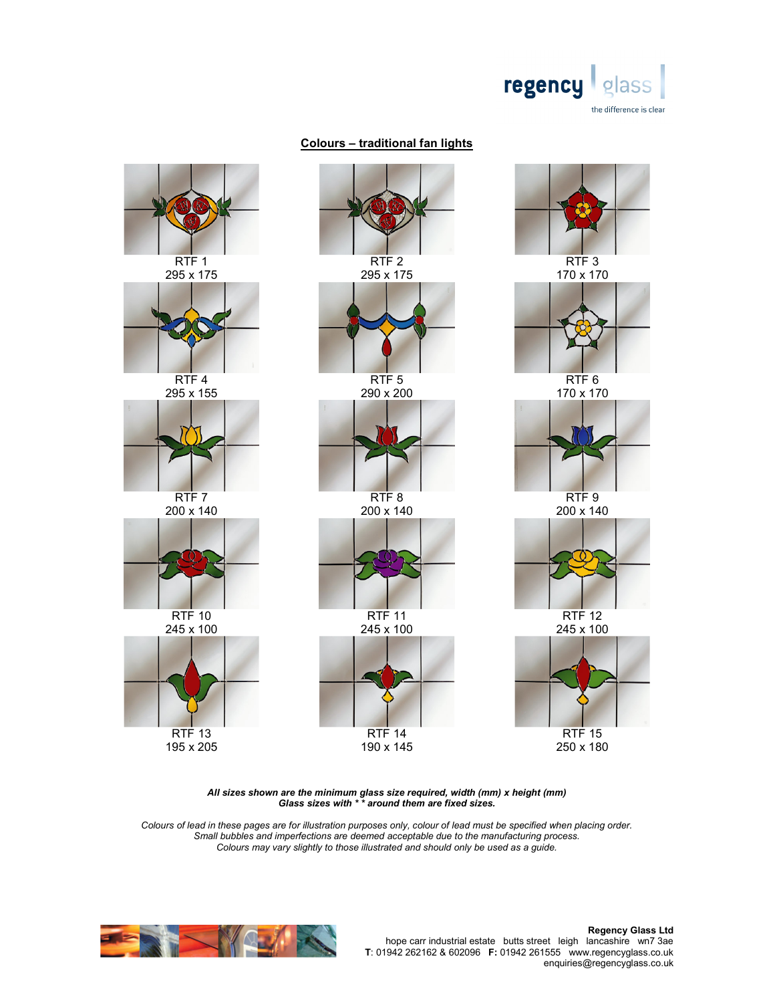

## Colours – traditional fan lights



All sizes shown are the minimum glass size required, width (mm) x height (mm) Glass sizes with \* \* around them are fixed sizes.

Colours of lead in these pages are for illustration purposes only, colour of lead must be specified when placing order. Small bubbles and imperfections are deemed acceptable due to the manufacturing process. Colours may vary slightly to those illustrated and should only be used as a guide.

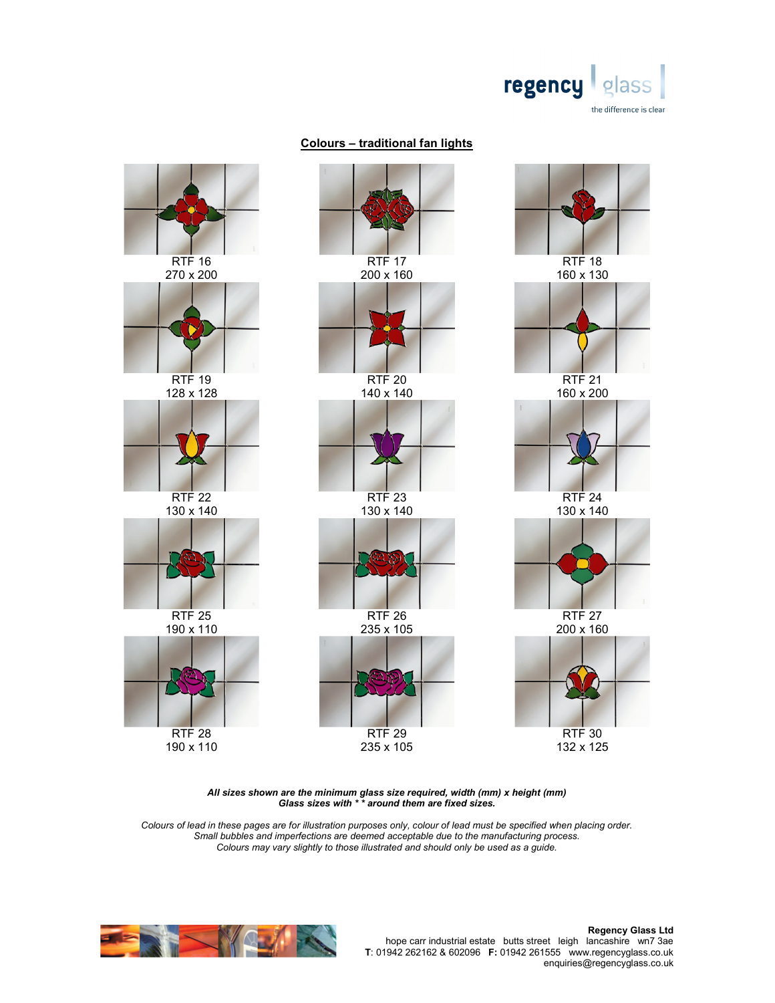

## Colours – traditional fan lights



All sizes shown are the minimum glass size required, width (mm) x height (mm) Glass sizes with \* \* around them are fixed sizes.

Colours of lead in these pages are for illustration purposes only, colour of lead must be specified when placing order. Small bubbles and imperfections are deemed acceptable due to the manufacturing process. Colours may vary slightly to those illustrated and should only be used as a guide.